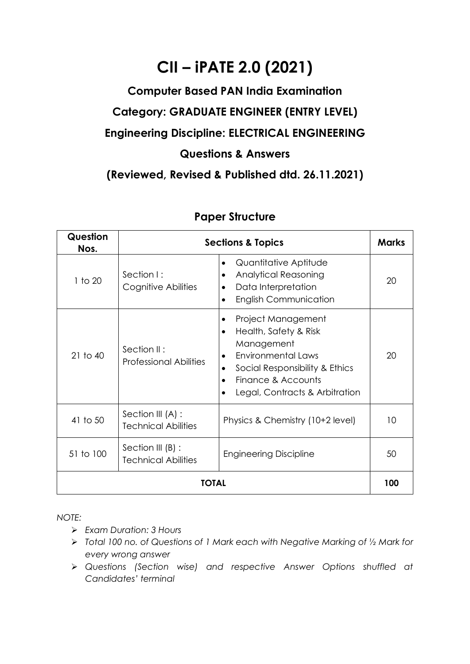## **CII – iPATE 2.0 (2021)**

## **Computer Based PAN India Examination Category: GRADUATE ENGINEER (ENTRY LEVEL) Engineering Discipline: ELECTRICAL ENGINEERING Questions & Answers**

**(Reviewed, Revised & Published dtd. 26.11.2021)**

| Question<br>Nos. |                                                   | <b>Sections &amp; Topics</b>                                                                                                                                                                                                 | <b>Marks</b> |
|------------------|---------------------------------------------------|------------------------------------------------------------------------------------------------------------------------------------------------------------------------------------------------------------------------------|--------------|
| 1 to 20          | Section I:<br>Cognitive Abilities                 | Quantitative Aptitude<br><b>Analytical Reasoning</b><br>٠<br>Data Interpretation<br><b>English Communication</b>                                                                                                             | 20           |
| $21$ to $40$     | Section II:<br><b>Professional Abilities</b>      | Project Management<br>٠<br>Health, Safety & Risk<br>$\bullet$<br>Management<br><b>Environmental Laws</b><br>$\bullet$<br>Social Responsibility & Ethics<br>Finance & Accounts<br>$\bullet$<br>Legal, Contracts & Arbitration | 20           |
| 41 to 50         | Section III (A) :<br><b>Technical Abilities</b>   | Physics & Chemistry (10+2 level)                                                                                                                                                                                             | 10           |
| 51 to 100        | Section III $(B)$ :<br><b>Technical Abilities</b> | <b>Engineering Discipline</b>                                                                                                                                                                                                | 50           |
| TOTAL            |                                                   |                                                                                                                                                                                                                              |              |

## **Paper Structure**

*NOTE:*

- ➢ *Exam Duration: 3 Hours*
- ➢ *Total 100 no. of Questions of 1 Mark each with Negative Marking of ½ Mark for every wrong answer*
- ➢ *Questions (Section wise) and respective Answer Options shuffled at Candidates' terminal*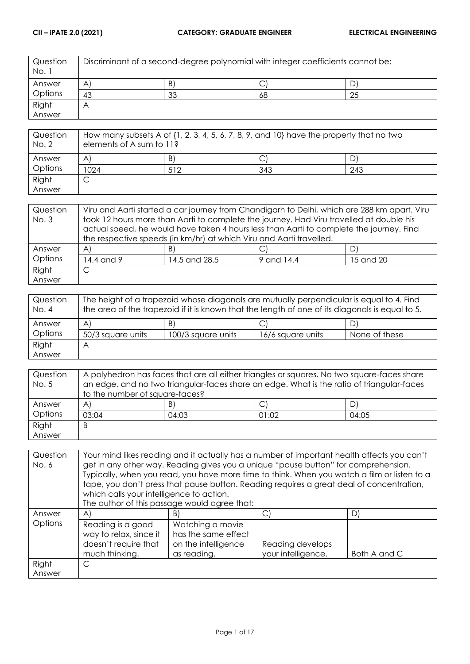| Question<br>No. 1 | Discriminant of a second-degree polynomial with integer coefficients cannot be: |    |    |    |
|-------------------|---------------------------------------------------------------------------------|----|----|----|
| Answer            | A                                                                               | B) | ◡  |    |
| Options           | 43                                                                              | 33 | 68 | 25 |
| Right             | $\forall$                                                                       |    |    |    |
| Answer            |                                                                                 |    |    |    |

| Question<br>No. 2 | How many subsets A of $\{1, 2, 3, 4, 5, 6, 7, 8, 9,$ and $10\}$ have the property that no two<br>elements of A sum to 11? |     |     |     |
|-------------------|---------------------------------------------------------------------------------------------------------------------------|-----|-----|-----|
| Answer            | A                                                                                                                         | B)  |     |     |
| Options           | 1024                                                                                                                      | 512 | 343 | 243 |
| Right             |                                                                                                                           |     |     |     |
| Answer            |                                                                                                                           |     |     |     |

| Question | Viru and Aarti started a car journey from Chandigarh to Delhi, which are 288 km apart. Viru |                                                                                         |            |           |
|----------|---------------------------------------------------------------------------------------------|-----------------------------------------------------------------------------------------|------------|-----------|
| No. 3    | took 12 hours more than Aarti to complete the journey. Had Viru travelled at double his     |                                                                                         |            |           |
|          |                                                                                             | actual speed, he would have taken 4 hours less than Aarti to complete the journey. Find |            |           |
|          | the respective speeds (in km/hr) at which Viru and Aarti travelled.                         |                                                                                         |            |           |
| Answer   | $\mathsf{A}$                                                                                | B)                                                                                      |            | DI        |
| Options  | 14.4 and 9                                                                                  | 14.5 and 28.5                                                                           | 9 and 14.4 | 15 and 20 |
| Right    | С                                                                                           |                                                                                         |            |           |
| Answer   |                                                                                             |                                                                                         |            |           |

| Question<br>No. 4 | The height of a trapezoid whose diagonals are mutually perpendicular is equal to 4. Find<br>the area of the trapezoid if it is known that the length of one of its diagonals is equal to 5. |                    |                   |               |
|-------------------|---------------------------------------------------------------------------------------------------------------------------------------------------------------------------------------------|--------------------|-------------------|---------------|
| Answer            | A                                                                                                                                                                                           | B)                 | ◡                 | D)            |
| Options           | 50/3 square units                                                                                                                                                                           | 100/3 square units | 16/6 square units | None of these |
| Right             | А                                                                                                                                                                                           |                    |                   |               |
| Answer            |                                                                                                                                                                                             |                    |                   |               |

| Question | A polyhedron has faces that are all either triangles or squares. No two square-faces share |       |       |       |
|----------|--------------------------------------------------------------------------------------------|-------|-------|-------|
| No. 5    | an edge, and no two triangular-faces share an edge. What is the ratio of triangular-faces  |       |       |       |
|          | to the number of square-faces?                                                             |       |       |       |
| Answer   | $\mathsf{A}$                                                                               | B)    | ◡     | D)    |
| Options  | 03:04                                                                                      | 04:03 | 01:02 | 04:05 |
| Right    | B                                                                                          |       |       |       |
| Answer   |                                                                                            |       |       |       |

| Question | Your mind likes reading and it actually has a number of important health affects you can't |                                                                                             |                    |              |
|----------|--------------------------------------------------------------------------------------------|---------------------------------------------------------------------------------------------|--------------------|--------------|
| No. 6    |                                                                                            | get in any other way. Reading gives you a unique "pause button" for comprehension.          |                    |              |
|          |                                                                                            | Typically, when you read, you have more time to think. When you watch a film or listen to a |                    |              |
|          |                                                                                            | tape, you don't press that pause button. Reading requires a great deal of concentration,    |                    |              |
|          | which calls your intelligence to action.                                                   |                                                                                             |                    |              |
|          |                                                                                            | The author of this passage would agree that:                                                |                    |              |
| Answer   | $\mathsf{A}$                                                                               | B)                                                                                          | C)                 | D)           |
| Options  | Reading is a good                                                                          | Watching a movie                                                                            |                    |              |
|          | way to relax, since it                                                                     | has the same effect                                                                         |                    |              |
|          | doesn't require that                                                                       | on the intelligence                                                                         | Reading develops   |              |
|          | much thinking.                                                                             | as reading.                                                                                 | your intelligence. | Both A and C |
| Right    | C                                                                                          |                                                                                             |                    |              |
| Answer   |                                                                                            |                                                                                             |                    |              |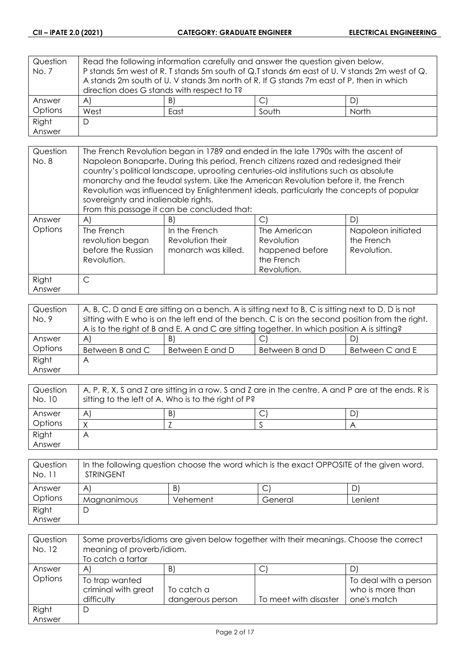| Question | Read the following information carefully and answer the question given below.           |    |                                                                                             |    |
|----------|-----------------------------------------------------------------------------------------|----|---------------------------------------------------------------------------------------------|----|
| No. 7    |                                                                                         |    | P stands 5m west of R. T stands 5m south of Q.T stands 6m east of U. V stands 2m west of Q. |    |
|          | A stands 2m south of U. V stands 3m north of R. If G stands 7m east of P, then in which |    |                                                                                             |    |
|          | direction does G stands with respect to T?                                              |    |                                                                                             |    |
| Answer   | A)                                                                                      | B) |                                                                                             | D) |
| Options  | West<br>South<br>North<br>East                                                          |    |                                                                                             |    |
| Right    | D                                                                                       |    |                                                                                             |    |
| Answer   |                                                                                         |    |                                                                                             |    |

| Question<br>No. 8 | The French Revolution began in 1789 and ended in the late 1790s with the ascent of<br>Napoleon Bonaparte. During this period, French citizens razed and redesigned their<br>country's political landscape, uprooting centuries-old institutions such as absolute<br>monarchy and the feudal system. Like the American Revolution before it, the French<br>Revolution was influenced by Enlightenment ideals, particularly the concepts of popular |                                                          |                                                                            |                                                 |
|-------------------|---------------------------------------------------------------------------------------------------------------------------------------------------------------------------------------------------------------------------------------------------------------------------------------------------------------------------------------------------------------------------------------------------------------------------------------------------|----------------------------------------------------------|----------------------------------------------------------------------------|-------------------------------------------------|
|                   | sovereignty and inalienable rights.<br>From this passage it can be concluded that:                                                                                                                                                                                                                                                                                                                                                                |                                                          |                                                                            |                                                 |
| Answer            | AI                                                                                                                                                                                                                                                                                                                                                                                                                                                | B)                                                       | C                                                                          | D)                                              |
| Options           | The French<br>revolution began<br>before the Russian<br>Revolution.                                                                                                                                                                                                                                                                                                                                                                               | In the French<br>Revolution their<br>monarch was killed. | The American<br>Revolution<br>happened before<br>the French<br>Revolution. | Napoleon initiated<br>the French<br>Revolution. |
| Right             | $\mathsf{C}$                                                                                                                                                                                                                                                                                                                                                                                                                                      |                                                          |                                                                            |                                                 |
| Answer            |                                                                                                                                                                                                                                                                                                                                                                                                                                                   |                                                          |                                                                            |                                                 |

| Question | A, B, C, D and E are sitting on a bench. A is sitting next to B, C is sitting next to D, D is not |                 |                 |                 |
|----------|---------------------------------------------------------------------------------------------------|-----------------|-----------------|-----------------|
| No. 9    | sitting with E who is on the left end of the bench. C is on the second position from the right.   |                 |                 |                 |
|          | A is to the right of B and E. A and C are sitting together. In which position A is sitting?       |                 |                 |                 |
| Answer   | $\mathsf{A}$                                                                                      | B)              | ◡               | D)              |
| Options  | Between B and C                                                                                   | Between E and D | Between B and D | Between C and E |
| Right    | Α                                                                                                 |                 |                 |                 |
| Answer   |                                                                                                   |                 |                 |                 |

| Question<br>No. 10 | A, P, R, X, S and Z are sitting in a row. S and Z are in the centre. A and P are at the ends. R is<br>sitting to the left of A. Who is to the right of P? |    |  |   |
|--------------------|-----------------------------------------------------------------------------------------------------------------------------------------------------------|----|--|---|
| Answer             | A                                                                                                                                                         | B) |  | D |
| Options            |                                                                                                                                                           |    |  |   |
| Right              |                                                                                                                                                           |    |  |   |
| Answer             |                                                                                                                                                           |    |  |   |

| Question<br>No. 11 | In the following question choose the word which is the exact OPPOSITE of the given word.<br><b>STRINGENT</b> |          |         |         |
|--------------------|--------------------------------------------------------------------------------------------------------------|----------|---------|---------|
| Answer             | A                                                                                                            | B)       |         |         |
| Options            | Magnanimous                                                                                                  | Vehement | General | Lenient |
| Right              |                                                                                                              |          |         |         |
| Answer             |                                                                                                              |          |         |         |

| Question<br>No. 12 | Some proverbs/idioms are given below together with their meanings. Choose the correct<br>meaning of proverb/idiom.<br>To catch a tartar |                                |                       |                                                          |
|--------------------|-----------------------------------------------------------------------------------------------------------------------------------------|--------------------------------|-----------------------|----------------------------------------------------------|
| Answer             | A                                                                                                                                       | B)                             | J                     |                                                          |
| Options            | To trap wanted<br>criminal with great<br>difficulty                                                                                     | To catch a<br>dangerous person | To meet with disaster | To deal with a person<br>who is more than<br>one's match |
| Right              | D                                                                                                                                       |                                |                       |                                                          |
| Answer             |                                                                                                                                         |                                |                       |                                                          |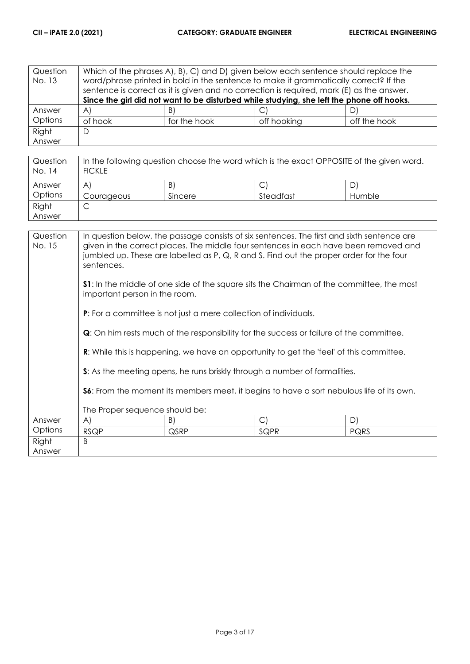| Question<br>No. 13 | Which of the phrases A), B), C) and D) given below each sentence should replace the<br>word/phrase printed in bold in the sentence to make it grammatically correct? If the<br>sentence is correct as it is given and no correction is required, mark (E) as the answer.<br>Since the girl did not want to be disturbed while studying, she left the phone off hooks. |              |             |              |
|--------------------|-----------------------------------------------------------------------------------------------------------------------------------------------------------------------------------------------------------------------------------------------------------------------------------------------------------------------------------------------------------------------|--------------|-------------|--------------|
| Answer             | $\forall$                                                                                                                                                                                                                                                                                                                                                             | B)           |             |              |
| Options            | of hook                                                                                                                                                                                                                                                                                                                                                               | for the hook | off hooking | off the hook |
| Right              | D                                                                                                                                                                                                                                                                                                                                                                     |              |             |              |
| Answer             |                                                                                                                                                                                                                                                                                                                                                                       |              |             |              |

| Question<br>No. 14 | In the following question choose the word which is the exact OPPOSITE of the given word.<br><b>FICKLE</b> |         |           |        |
|--------------------|-----------------------------------------------------------------------------------------------------------|---------|-----------|--------|
| Answer             | A                                                                                                         | B)      |           | D      |
| Options            | Courageous                                                                                                | Sincere | Steadfast | Humble |
| Right              | ◡                                                                                                         |         |           |        |
| Answer             |                                                                                                           |         |           |        |

| Question<br>No. 15 | In question below, the passage consists of six sentences. The first and sixth sentence are<br>given in the correct places. The middle four sentences in each have been removed and<br>jumbled up. These are labelled as P, Q, R and S. Find out the proper order for the four<br>sentences. |                                                                         |                                                                                                |      |
|--------------------|---------------------------------------------------------------------------------------------------------------------------------------------------------------------------------------------------------------------------------------------------------------------------------------------|-------------------------------------------------------------------------|------------------------------------------------------------------------------------------------|------|
|                    | <b>S1</b> : In the middle of one side of the square sits the Chairman of the committee, the most<br>important person in the room.                                                                                                                                                           |                                                                         |                                                                                                |      |
|                    |                                                                                                                                                                                                                                                                                             | <b>P:</b> For a committee is not just a mere collection of individuals. |                                                                                                |      |
|                    | <b>Q</b> : On him rests much of the responsibility for the success or failure of the committee.                                                                                                                                                                                             |                                                                         |                                                                                                |      |
|                    |                                                                                                                                                                                                                                                                                             |                                                                         | <b>R:</b> While this is happening, we have an opportunity to get the 'feel' of this committee. |      |
|                    |                                                                                                                                                                                                                                                                                             |                                                                         | S: As the meeting opens, he runs briskly through a number of formalities.                      |      |
|                    | <b>S6:</b> From the moment its members meet, it begins to have a sort nebulous life of its own.                                                                                                                                                                                             |                                                                         |                                                                                                |      |
|                    | The Proper sequence should be:                                                                                                                                                                                                                                                              |                                                                         |                                                                                                |      |
| Answer             | A)                                                                                                                                                                                                                                                                                          | B)                                                                      | $\vert$ $\vert$                                                                                | D)   |
| Options            | <b>RSQP</b>                                                                                                                                                                                                                                                                                 | QSRP                                                                    | SQPR                                                                                           | PQRS |
| Right<br>Answer    | B                                                                                                                                                                                                                                                                                           |                                                                         |                                                                                                |      |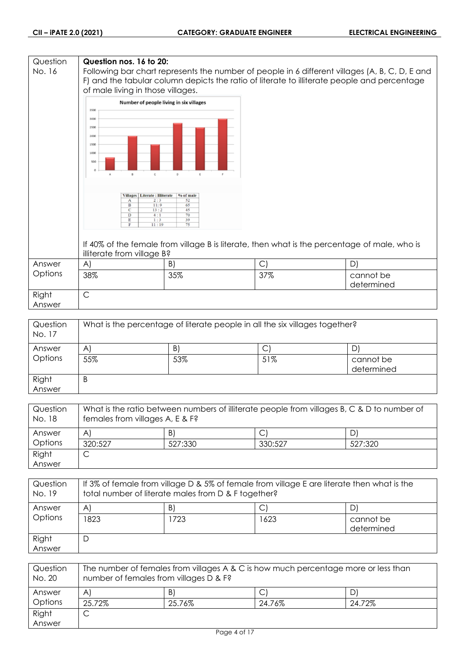## **Question Question nos. 16 to 20:** No. 16 Following bar chart represents the number of people in 6 different villages (A, B, C, D, E and F) and the tabular column depicts the ratio of literate to illiterate people and percentage of male living in those villages. Number of people living in six villages 3500 3000 2500 2000 1500  $1000$ 50 Villages | Literate : Illiterate | % of male Ť  $\frac{1}{13}$  $\overline{11}$ If 40% of the female from village B is literate, then what is the percentage of male, who is illiterate from village B? Answer A)  $|B|$   $|C|$   $|D|$ **Options** 38% 35% 37% cannot be determined Right C Answer

| Question<br>No. 17 | What is the percentage of literate people in all the six villages together? |     |     |                         |
|--------------------|-----------------------------------------------------------------------------|-----|-----|-------------------------|
| Answer             | A                                                                           | B.  |     |                         |
| Options            | 55%                                                                         | 53% | 51% | cannot be<br>determined |
| Right              | B                                                                           |     |     |                         |
| Answer             |                                                                             |     |     |                         |

| Question<br>No. 18 | What is the ratio between numbers of illiterate people from villages B, C & D to number of<br>females from villages A, E & F? |         |         |         |
|--------------------|-------------------------------------------------------------------------------------------------------------------------------|---------|---------|---------|
| Answer             | A                                                                                                                             | B)      |         | D)      |
| Options            | 320:527                                                                                                                       | 527:330 | 330:527 | 527:320 |
| Right              |                                                                                                                               |         |         |         |
| Answer             |                                                                                                                               |         |         |         |

| Question<br>No. 19 | If 3% of female from village D & 5% of female from village E are literate then what is the<br>total number of literate males from D & F together? |      |      |                         |
|--------------------|---------------------------------------------------------------------------------------------------------------------------------------------------|------|------|-------------------------|
| Answer             | $\mathsf{A}$                                                                                                                                      | B)   |      | D)                      |
| Options            | 823                                                                                                                                               | 1723 | 1623 | cannot be<br>determined |
| Right<br>Answer    | D                                                                                                                                                 |      |      |                         |

| Question<br>No. 20 | The number of females from villages A & C is how much percentage more or less than<br>number of females from villages D & F? |        |        |        |
|--------------------|------------------------------------------------------------------------------------------------------------------------------|--------|--------|--------|
| Answer             | A                                                                                                                            | B.     |        |        |
| Options            | 25.72%                                                                                                                       | 25.76% | 24.76% | 24.72% |
| Right              | ◡                                                                                                                            |        |        |        |
| Answer             |                                                                                                                              |        |        |        |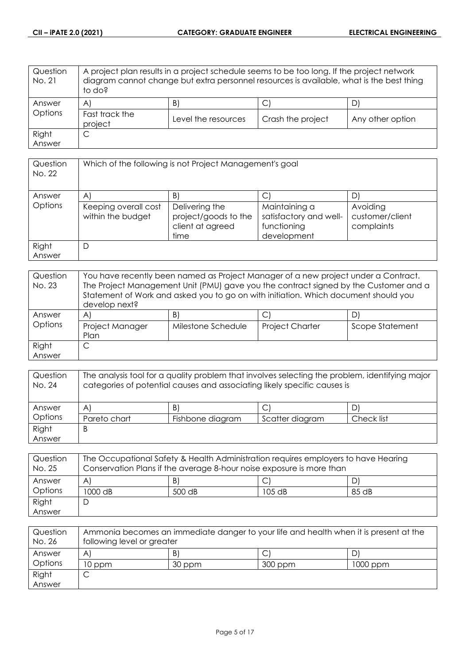| Question<br>No. 21 | A project plan results in a project schedule seems to be too long. If the project network<br>diagram cannot change but extra personnel resources is available, what is the best thing<br>to do? |                     |                   |                  |
|--------------------|-------------------------------------------------------------------------------------------------------------------------------------------------------------------------------------------------|---------------------|-------------------|------------------|
| Answer             | $\mathsf{A}$                                                                                                                                                                                    | B)                  | J                 |                  |
| Options            | Fast track the<br>project                                                                                                                                                                       | Level the resources | Crash the project | Any other option |
| Right              | С                                                                                                                                                                                               |                     |                   |                  |
| Answer             |                                                                                                                                                                                                 |                     |                   |                  |

| Question<br>No. 22 | Which of the following is not Project Management's goal |                                                                    |                                                                       |                                           |
|--------------------|---------------------------------------------------------|--------------------------------------------------------------------|-----------------------------------------------------------------------|-------------------------------------------|
| Answer             | A                                                       | B)                                                                 | C                                                                     |                                           |
| Options            | Keeping overall cost<br>within the budget               | Delivering the<br>project/goods to the<br>client at agreed<br>time | Maintaining a<br>satisfactory and well-<br>functioning<br>development | Avoiding<br>customer/client<br>complaints |
| Right<br>Answer    | D                                                       |                                                                    |                                                                       |                                           |

| Question<br>No. 23 | You have recently been named as Project Manager of a new project under a Contract.<br>The Project Management Unit (PMU) gave you the contract signed by the Customer and a<br>Statement of Work and asked you to go on with initiation. Which document should you<br>develop next? |                    |                        |                 |
|--------------------|------------------------------------------------------------------------------------------------------------------------------------------------------------------------------------------------------------------------------------------------------------------------------------|--------------------|------------------------|-----------------|
| Answer             | A                                                                                                                                                                                                                                                                                  | B)                 | C                      | D               |
| Options            | Project Manager<br>Plan                                                                                                                                                                                                                                                            | Milestone Schedule | <b>Project Charter</b> | Scope Statement |
| Right              |                                                                                                                                                                                                                                                                                    |                    |                        |                 |
| Answer             |                                                                                                                                                                                                                                                                                    |                    |                        |                 |

| Question<br>No. 24 | The analysis tool for a quality problem that involves selecting the problem, identifying major<br>categories of potential causes and associating likely specific causes is |                  |                 |            |
|--------------------|----------------------------------------------------------------------------------------------------------------------------------------------------------------------------|------------------|-----------------|------------|
| Answer             | A'                                                                                                                                                                         | B)               |                 |            |
| Options            | Pareto chart                                                                                                                                                               | Fishbone diagram | Scatter diagram | Check list |
| Right              | B                                                                                                                                                                          |                  |                 |            |
| Answer             |                                                                                                                                                                            |                  |                 |            |

| Question<br>No. 25 | The Occupational Safety & Health Administration requires employers to have Hearing<br>Conservation Plans if the average 8-hour noise exposure is more than |        |          |       |
|--------------------|------------------------------------------------------------------------------------------------------------------------------------------------------------|--------|----------|-------|
| Answer             | A                                                                                                                                                          | B)     |          |       |
| Options            | 1000 dB                                                                                                                                                    | 500 dB | $105$ dB | 85 dB |
| Right              |                                                                                                                                                            |        |          |       |
| Answer             |                                                                                                                                                            |        |          |       |

| Question<br>No. 26 | Ammonia becomes an immediate danger to your life and health when it is present at the<br>following level or greater |        |         |          |
|--------------------|---------------------------------------------------------------------------------------------------------------------|--------|---------|----------|
| Answer             | A                                                                                                                   | B.     |         |          |
| Options            | 10 ppm                                                                                                              | 30 ppm | 300 ppm | 1000 ppm |
| Right              |                                                                                                                     |        |         |          |
| Answer             |                                                                                                                     |        |         |          |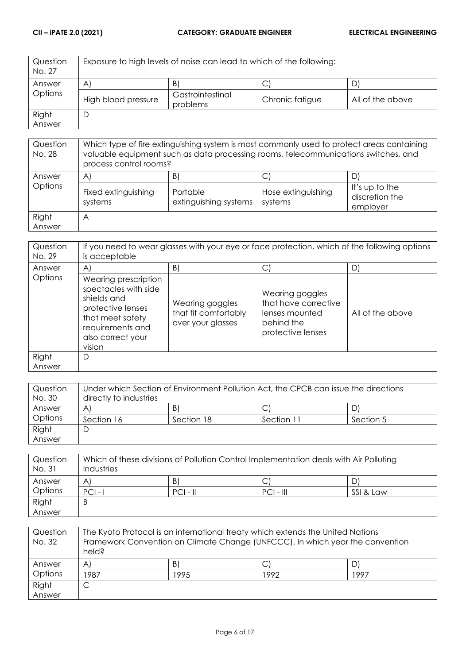| Question<br>No. 27 | Exposure to high levels of noise can lead to which of the following: |                              |                 |                  |
|--------------------|----------------------------------------------------------------------|------------------------------|-----------------|------------------|
| Answer             | A                                                                    | B                            | ◡               |                  |
| Options            | High blood pressure                                                  | Gastrointestinal<br>problems | Chronic fatigue | All of the above |
| Right              |                                                                      |                              |                 |                  |
| Answer             |                                                                      |                              |                 |                  |

| Question<br>No. 28 | Which type of fire extinguishing system is most commonly used to protect areas containing<br>valuable equipment such as data processing rooms, telecommunications switches, and<br>process control rooms? |                                         |                               |                                              |
|--------------------|-----------------------------------------------------------------------------------------------------------------------------------------------------------------------------------------------------------|-----------------------------------------|-------------------------------|----------------------------------------------|
| Answer<br>Options  | A<br>Fixed extinguishing<br>systems                                                                                                                                                                       | B)<br>Portable<br>extinguishing systems | Hose extinguishing<br>systems | It's up to the<br>discretion the<br>employer |
| Right<br>Answer    | A                                                                                                                                                                                                         |                                         |                               |                                              |

| Question<br>No. 29 | If you need to wear glasses with your eye or face protection, which of the following options<br>is acceptable                                           |                                                              |                                                                                              |                  |
|--------------------|---------------------------------------------------------------------------------------------------------------------------------------------------------|--------------------------------------------------------------|----------------------------------------------------------------------------------------------|------------------|
| Answer             | $\mathsf{A}$                                                                                                                                            | B)                                                           | С                                                                                            | D                |
| Options            | Wearing prescription<br>spectacles with side<br>shields and<br>protective lenses<br>that meet safety<br>requirements and<br>also correct your<br>vision | Wearing goggles<br>that fit comfortably<br>over your glasses | Wearing goggles<br>that have corrective<br>lenses mounted<br>behind the<br>protective lenses | All of the above |
| Right<br>Answer    | D                                                                                                                                                       |                                                              |                                                                                              |                  |

| Question | Under which Section of Environment Pollution Act, the CPCB can issue the directions |            |            |           |
|----------|-------------------------------------------------------------------------------------|------------|------------|-----------|
| No. 30   | directly to industries                                                              |            |            |           |
| Answer   | A                                                                                   | B)         |            | DI        |
| Options  | Section 16                                                                          | Section 18 | Section 11 | Section 5 |
| Right    | C                                                                                   |            |            |           |
| Answer   |                                                                                     |            |            |           |

| Question<br>No. 31 | Which of these divisions of Pollution Control Implementation deals with Air Polluting<br>Industries |            |             |           |
|--------------------|-----------------------------------------------------------------------------------------------------|------------|-------------|-----------|
| Answer             | A                                                                                                   | B)         | C           |           |
| Options            | $PCI -$                                                                                             | $PCI - II$ | $PCI - III$ | SSI & Law |
| Right              | B                                                                                                   |            |             |           |
| Answer             |                                                                                                     |            |             |           |

| Question<br>No. 32 | The Kyoto Protocol is an international treaty which extends the United Nations<br>Framework Convention on Climate Change (UNFCCC). In which year the convention<br>held? |      |      |      |
|--------------------|--------------------------------------------------------------------------------------------------------------------------------------------------------------------------|------|------|------|
| Answer             | $\mathsf{A}^{\mathsf{c}}$                                                                                                                                                | B)   |      |      |
| Options            | 1987                                                                                                                                                                     | 1995 | 1992 | 1997 |
| Right              | C                                                                                                                                                                        |      |      |      |
| Answer             |                                                                                                                                                                          |      |      |      |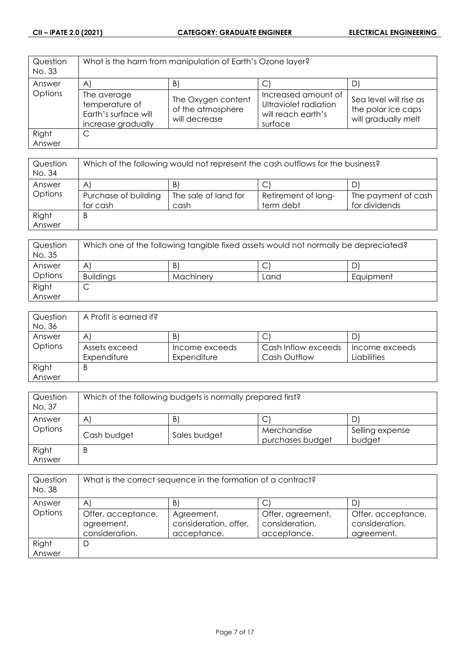| Question<br>No. 33 |                                                                             | What is the harm from manipulation of Earth's Ozone layer? |                                                                               |                                                                     |
|--------------------|-----------------------------------------------------------------------------|------------------------------------------------------------|-------------------------------------------------------------------------------|---------------------------------------------------------------------|
| Answer             | $\mathsf{A}^{\mathsf{c}}$                                                   | B                                                          |                                                                               | D'                                                                  |
| Options            | The average<br>temperature of<br>Earth's surface will<br>increase gradually | The Oxygen content<br>of the atmosphere<br>will decrease   | Increased amount of<br>Ultraviolet radiation<br>will reach earth's<br>surface | Sea level will rise as<br>the polar ice caps<br>will gradually melt |
| Right              | C                                                                           |                                                            |                                                                               |                                                                     |
| Answer             |                                                                             |                                                            |                                                                               |                                                                     |

| Question<br>No. 34 | Which of the following would not represent the cash outflows for the business? |                      |                     |                     |
|--------------------|--------------------------------------------------------------------------------|----------------------|---------------------|---------------------|
| Answer             | $\mathsf{A}^{\prime}$                                                          | B.                   |                     |                     |
| Options            | Purchase of building                                                           | The sale of land for | Retirement of long- | The payment of cash |
|                    | for cash                                                                       | cash                 | term debt           | for dividends       |
| Right              | B                                                                              |                      |                     |                     |
| Answer             |                                                                                |                      |                     |                     |

| Question<br>No. 35 | Which one of the following tangible fixed assets would not normally be depreciated? |           |      |           |
|--------------------|-------------------------------------------------------------------------------------|-----------|------|-----------|
| Answer             | A                                                                                   | B.        |      | D         |
| Options            | <b>Buildings</b>                                                                    | Machinery | Land | Equipment |
| Right              | ◡                                                                                   |           |      |           |
| Answer             |                                                                                     |           |      |           |

| Question | A Profit is earned if? |                |                     |                |
|----------|------------------------|----------------|---------------------|----------------|
| No. 36   |                        |                |                     |                |
| Answer   | A                      | B              | ◡                   |                |
| Options  | Assets exceed          | Income exceeds | Cash Inflow exceeds | Income exceeds |
|          | Expenditure            | Expenditure    | Cash Outflow        | Liabilities    |
| Right    | B                      |                |                     |                |
| Answer   |                        |                |                     |                |

| Question<br>No. 37 | Which of the following budgets is normally prepared first? |              |                  |                 |
|--------------------|------------------------------------------------------------|--------------|------------------|-----------------|
| Answer             | B)<br>D<br>$\mathsf{A}$                                    |              |                  |                 |
| Options            |                                                            |              | ◡<br>Merchandise | Selling expense |
|                    | Cash budget                                                | Sales budget | purchases budget | budget          |
| Right              | B                                                          |              |                  |                 |
| Answer             |                                                            |              |                  |                 |

| Question<br>No. 38 | What is the correct sequence in the formation of a contract? |                                                    |                                                    |                                                    |
|--------------------|--------------------------------------------------------------|----------------------------------------------------|----------------------------------------------------|----------------------------------------------------|
| Answer             | $\mathsf{A}^{\prime}$                                        | B                                                  |                                                    | D                                                  |
| Options            | Offer, acceptance,<br>agreement,<br>consideration.           | Agreement,<br>consideration, offer,<br>acceptance. | Offer, agreement,<br>consideration,<br>acceptance. | Offer, acceptance,<br>consideration,<br>agreement. |
| Right              | D                                                            |                                                    |                                                    |                                                    |
| Answer             |                                                              |                                                    |                                                    |                                                    |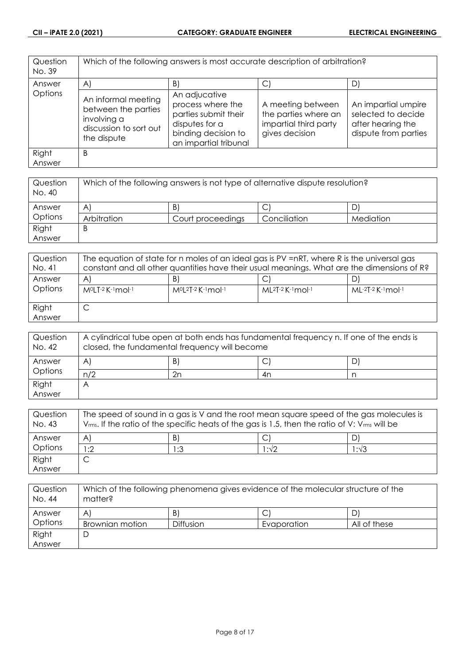| Question<br>No. 39 | Which of the following answers is most accurate description of arbitration?                        |                                                                                                                              |                                                                                      |                                                                                        |
|--------------------|----------------------------------------------------------------------------------------------------|------------------------------------------------------------------------------------------------------------------------------|--------------------------------------------------------------------------------------|----------------------------------------------------------------------------------------|
| Answer             | $\mathsf{A}$                                                                                       | $\vert B \vert$                                                                                                              | C.                                                                                   | D)                                                                                     |
| Options            | An informal meeting<br>between the parties<br>involving a<br>discussion to sort out<br>the dispute | An adjucative<br>process where the<br>parties submit their<br>disputes for a<br>binding decision to<br>an impartial tribunal | A meeting between<br>the parties where an<br>impartial third party<br>gives decision | An impartial umpire<br>selected to decide<br>after hearing the<br>dispute from parties |
| Right<br>Answer    | B                                                                                                  |                                                                                                                              |                                                                                      |                                                                                        |

| Question<br>No. 40 | Which of the following answers is not type of alternative dispute resolution? |                   |              |           |
|--------------------|-------------------------------------------------------------------------------|-------------------|--------------|-----------|
| Answer             | A'                                                                            | B                 |              |           |
| Options            | Arbitration                                                                   | Court proceedings | Conciliation | Mediation |
| Right              | B                                                                             |                   |              |           |
| Answer             |                                                                               |                   |              |           |

| Question<br>No. 41 | The equation of state for n moles of an ideal gas is PV =nRT, where R is the universal gas<br>constant and all other quantities have their usual meanings. What are the dimensions of R? |                                  |                             |                     |
|--------------------|------------------------------------------------------------------------------------------------------------------------------------------------------------------------------------------|----------------------------------|-----------------------------|---------------------|
| Answer<br>Options  | A<br>M <sup>o</sup> LT-2 K-1 mol-1                                                                                                                                                       | B<br>$M^{0}[2T-2K^{-1}mol^{-1}]$ | $ML^{2}T-2$ K $-1$ mol $-1$ | $ML-2T-2$ K-1 mol-1 |
| Right<br>Answer    | ◡                                                                                                                                                                                        |                                  |                             |                     |

| Question<br>No. 42 | A cylindrical tube open at both ends has fundamental frequency n. If one of the ends is<br>closed, the fundamental frequency will become |    |     |    |
|--------------------|------------------------------------------------------------------------------------------------------------------------------------------|----|-----|----|
| Answer             | A                                                                                                                                        | B) | . J | D' |
| Options            | n/2                                                                                                                                      | 2n | 4n  |    |
| Right              |                                                                                                                                          |    |     |    |
| Answer             |                                                                                                                                          |    |     |    |

| Question<br>No. 43 | The speed of sound in a gas is V and the root mean square speed of the gas molecules is<br>$V_{rms}$ . If the ratio of the specific heats of the gas is 1.5, then the ratio of V: $V_{rms}$ will be |              |       |      |
|--------------------|-----------------------------------------------------------------------------------------------------------------------------------------------------------------------------------------------------|--------------|-------|------|
| Answer             | A                                                                                                                                                                                                   | $\mathsf{B}$ |       |      |
| Options            | :2                                                                                                                                                                                                  | 1:3          | l :√2 | 1:√3 |
| Right              |                                                                                                                                                                                                     |              |       |      |
| Answer             |                                                                                                                                                                                                     |              |       |      |

| Question<br>No. 44 | Which of the following phenomena gives evidence of the molecular structure of the<br>matter? |                  |             |              |
|--------------------|----------------------------------------------------------------------------------------------|------------------|-------------|--------------|
| Answer             | Α                                                                                            | $\vert B \vert$  | C           |              |
| Options            | Brownian motion                                                                              | <b>Diffusion</b> | Evaporation | All of these |
| Right              | ◡                                                                                            |                  |             |              |
| Answer             |                                                                                              |                  |             |              |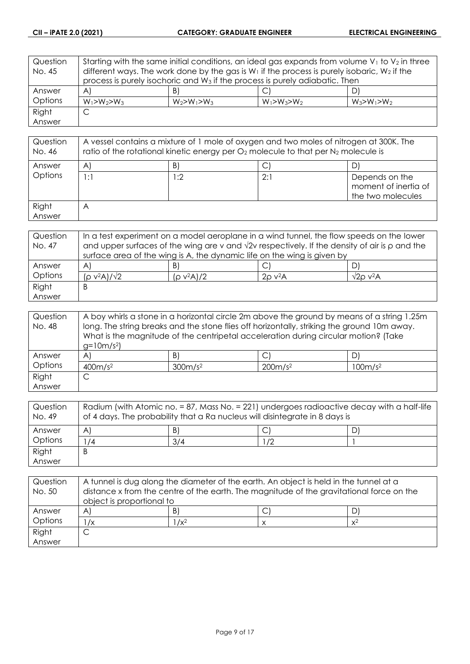| Question | Starting with the same initial conditions, an ideal gas expands from volume $V_1$ to $V_2$ in three |                   |                   |                   |
|----------|-----------------------------------------------------------------------------------------------------|-------------------|-------------------|-------------------|
| No. 45   | different ways. The work done by the gas is $W_1$ if the process is purely isobaric, $W_2$ if the   |                   |                   |                   |
|          | process is purely isochoric and W <sub>3</sub> if the process is purely adiabatic. Then             |                   |                   |                   |
| Answer   | $\mathsf{A}$                                                                                        | B)                |                   | D'                |
| Options  | $W_1 > W_2 > W_3$                                                                                   | $W_2 > W_1 > W_3$ | $W_1 > W_3 > W_2$ | $W_3 > W_1 > W_2$ |
| Right    | С                                                                                                   |                   |                   |                   |
| Answer   |                                                                                                     |                   |                   |                   |

| Question<br>No. 46 | A vessel contains a mixture of 1 mole of oxygen and two moles of nitrogen at 300K. The<br>ratio of the rotational kinetic energy per $O_2$ molecule to that per $N_2$ molecule is |      |     |                                                             |
|--------------------|-----------------------------------------------------------------------------------------------------------------------------------------------------------------------------------|------|-----|-------------------------------------------------------------|
| Answer             | A                                                                                                                                                                                 | B)   |     |                                                             |
| Options            | 1:1                                                                                                                                                                               | l :2 | 2:1 | Depends on the<br>moment of inertia of<br>the two molecules |
| Right<br>Answer    | $\forall$                                                                                                                                                                         |      |     |                                                             |

| Question | In a test experiment on a model aeroplane in a wind tunnel, the flow speeds on the lower                   |               |                          |                     |
|----------|------------------------------------------------------------------------------------------------------------|---------------|--------------------------|---------------------|
| No. 47   | and upper surfaces of the wing are v and $\sqrt{2}v$ respectively. If the density of air is $\rho$ and the |               |                          |                     |
|          | surface area of the wing is A, the dynamic life on the wing is given by                                    |               |                          |                     |
| Answer   | A                                                                                                          | B.            |                          |                     |
| Options  | $(\rho$ v <sup>2</sup> A)/ $\sqrt{2}$                                                                      | $(p v^2 A)/2$ | $2\rho$ v <sup>2</sup> A | $\sqrt{2}$ o v $2A$ |
| Right    | Β                                                                                                          |               |                          |                     |
| Answer   |                                                                                                            |               |                          |                     |

| Question | A boy whirls a stone in a horizontal circle 2m above the ground by means of a string 1.25m  |                 |                                                                                     |    |
|----------|---------------------------------------------------------------------------------------------|-----------------|-------------------------------------------------------------------------------------|----|
| No. 48   | long. The string breaks and the stone flies off horizontally, striking the ground 10m away. |                 |                                                                                     |    |
|          |                                                                                             |                 | What is the magnitude of the centripetal acceleration during circular motion? (Take |    |
|          | $g=10m/s^2$                                                                                 |                 |                                                                                     |    |
| Answer   | A'                                                                                          | $\vert B \vert$ | $\mathsf{C}^1$                                                                      | D. |
| Options  | 400m/s <sup>2</sup><br>300m/s <sup>2</sup><br>200m/s <sup>2</sup><br>100m/s <sup>2</sup>    |                 |                                                                                     |    |
| Right    | ◡                                                                                           |                 |                                                                                     |    |
| Answer   |                                                                                             |                 |                                                                                     |    |

| Question<br>No. 49 | Radium (with Atomic no. = 87, Mass No. = 221) undergoes radioactive decay with a half-life<br>of 4 days. The probability that a Ra nucleus will disintegrate in 8 days is |     |    |  |
|--------------------|---------------------------------------------------------------------------------------------------------------------------------------------------------------------------|-----|----|--|
| Answer             | A                                                                                                                                                                         | B   | ٮ  |  |
| Options            | $^1/4$                                                                                                                                                                    | 3/4 | 72 |  |
| Right              | B                                                                                                                                                                         |     |    |  |
| Answer             |                                                                                                                                                                           |     |    |  |

| Question<br>No. 50 | A tunnel is dug along the diameter of the earth. An object is held in the tunnel at a<br>distance x from the centre of the earth. The magnitude of the gravitational force on the<br>object is proportional to |         |  |       |
|--------------------|----------------------------------------------------------------------------------------------------------------------------------------------------------------------------------------------------------------|---------|--|-------|
| Answer             | A                                                                                                                                                                                                              | B       |  |       |
| Options            | $\sqrt{x}$                                                                                                                                                                                                     | $1/x^2$ |  | $x^2$ |
| Right              |                                                                                                                                                                                                                |         |  |       |
| Answer             |                                                                                                                                                                                                                |         |  |       |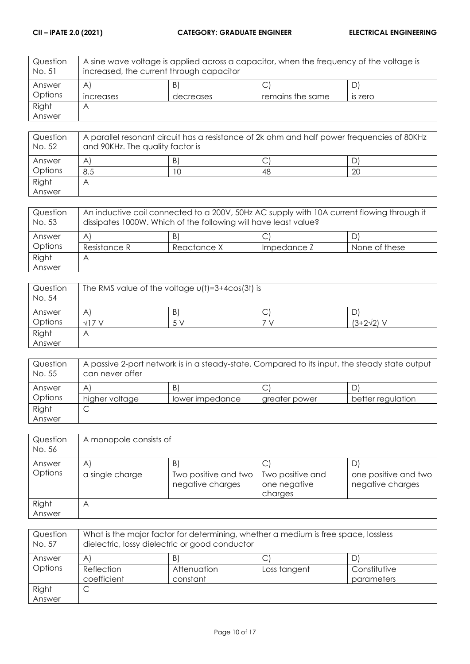| Question<br>No. 51 | A sine wave voltage is applied across a capacitor, when the frequency of the voltage is<br>increased, the current through capacitor |           |                  |                |
|--------------------|-------------------------------------------------------------------------------------------------------------------------------------|-----------|------------------|----------------|
| Answer             | $\mathsf{A}$                                                                                                                        | B'        |                  |                |
| Options            | increases                                                                                                                           | decreases | remains the same | <b>IS ZETO</b> |
| Right              | A                                                                                                                                   |           |                  |                |
| Answer             |                                                                                                                                     |           |                  |                |

| Question<br>No. 52 | A parallel resonant circuit has a resistance of 2k ohm and half power frequencies of 80KHz<br>and 90KHz. The quality factor is |   |     |    |
|--------------------|--------------------------------------------------------------------------------------------------------------------------------|---|-----|----|
| Answer             | A                                                                                                                              | B |     |    |
| Options            | 8.5                                                                                                                            |   | -48 | 20 |
| Right              | Α                                                                                                                              |   |     |    |
| Answer             |                                                                                                                                |   |     |    |

| Question<br>No. 53 | An inductive coil connected to a 200V, 50Hz AC supply with 10A current flowing through it<br>dissipates 1000W. Which of the following will have least value? |             |             |               |
|--------------------|--------------------------------------------------------------------------------------------------------------------------------------------------------------|-------------|-------------|---------------|
| Answer             | A                                                                                                                                                            | B           |             | D.            |
| Options            | Resistance R                                                                                                                                                 | Reactance X | Impedance Z | None of these |
| Right              | Α                                                                                                                                                            |             |             |               |
| Answer             |                                                                                                                                                              |             |             |               |

| Question<br>No. 54 | The RMS value of the voltage $u(t) = 3 + 4cos(3t)$ is |        |   |                   |
|--------------------|-------------------------------------------------------|--------|---|-------------------|
| Answer             | A                                                     | B      | ◡ |                   |
| Options            |                                                       | $\sim$ |   | $(3+2\sqrt{2})$ V |
| Right              | $\overline{ }$                                        |        |   |                   |
| Answer             |                                                       |        |   |                   |

| Question<br>No. 55 | A passive 2-port network is in a steady-state. Compared to its input, the steady state output<br>can never offer |                 |               |                   |
|--------------------|------------------------------------------------------------------------------------------------------------------|-----------------|---------------|-------------------|
| Answer             | Α                                                                                                                | B               |               |                   |
| Options            | higher voltage                                                                                                   | lower impedance | greater power | better regulation |
| Right              | ◡                                                                                                                |                 |               |                   |
| Answer             |                                                                                                                  |                 |               |                   |

| Question<br>No. 56 | A monopole consists of |                                          |                                             |                                          |
|--------------------|------------------------|------------------------------------------|---------------------------------------------|------------------------------------------|
| Answer             | A                      | Β                                        |                                             |                                          |
| Options            | a single charge        | Two positive and two<br>negative charges | Two positive and<br>one negative<br>charges | one positive and two<br>negative charges |
| Right              | Α                      |                                          |                                             |                                          |
| Answer             |                        |                                          |                                             |                                          |

| Question<br>No. 57 | What is the major factor for determining, whether a medium is free space, lossless<br>dielectric, lossy dielectric or good conductor |                  |              |              |
|--------------------|--------------------------------------------------------------------------------------------------------------------------------------|------------------|--------------|--------------|
| Answer<br>Options  | $\mathsf{A}$<br>Reflection<br>coefficient                                                                                            | B<br>Attenuation | Loss tangent | Constitutive |
| Right<br>Answer    | C                                                                                                                                    | constant         |              | parameters   |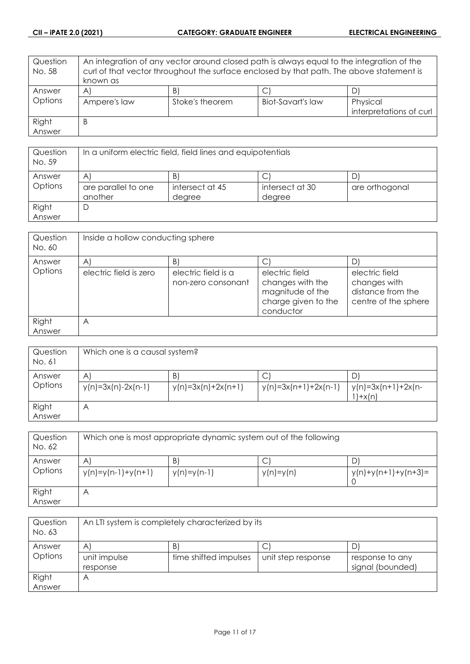| Question<br>No. 58 | An integration of any vector around closed path is always equal to the integration of the<br>curl of that vector throughout the surface enclosed by that path. The above statement is |                 |                          |                         |
|--------------------|---------------------------------------------------------------------------------------------------------------------------------------------------------------------------------------|-----------------|--------------------------|-------------------------|
|                    | known as                                                                                                                                                                              |                 |                          |                         |
| Answer             | A                                                                                                                                                                                     | B)              |                          |                         |
| Options            | Ampere's law                                                                                                                                                                          | Stoke's theorem | <b>Biot-Savart's law</b> | Physical                |
|                    |                                                                                                                                                                                       |                 |                          | interpretations of curl |
| Right              | B                                                                                                                                                                                     |                 |                          |                         |
| Answer             |                                                                                                                                                                                       |                 |                          |                         |

| Question<br>No. 59 | In a uniform electric field, field lines and equipotentials |                 |                 |                |
|--------------------|-------------------------------------------------------------|-----------------|-----------------|----------------|
| Answer             | $\mathsf{A}$                                                | B               |                 |                |
| Options            | are parallel to one                                         | intersect at 45 | intersect at 30 | are orthogonal |
|                    | another                                                     | degree          | degree          |                |
| Right              | D                                                           |                 |                 |                |
| Answer             |                                                             |                 |                 |                |

| Question<br>No. 60 | Inside a hollow conducting sphere |                                           |                                                                                            |                                                                             |
|--------------------|-----------------------------------|-------------------------------------------|--------------------------------------------------------------------------------------------|-----------------------------------------------------------------------------|
| Answer             | $\overline{A}$                    | B)                                        |                                                                                            |                                                                             |
| Options            | electric field is zero            | electric field is a<br>non-zero consonant | electric field<br>changes with the<br>magnitude of the<br>charge given to the<br>conductor | electric field<br>changes with<br>distance from the<br>centre of the sphere |
| Right<br>Answer    | $\forall$                         |                                           |                                                                                            |                                                                             |

| Question<br>No. 61 | Which one is a causal system?        |                            |                             |                                   |
|--------------------|--------------------------------------|----------------------------|-----------------------------|-----------------------------------|
| Answer<br>Options  | $\mathsf{A}$<br>$y(n)=3x(n)-2x(n-1)$ | B)<br>$y(n)=3x(n)+2x(n+1)$ | C<br>$y(n)=3x(n+1)+2x(n-1)$ | $y(n)=3x(n+1)+2x(n-1)$<br>$+x(n)$ |
| Right<br>Answer    | Α                                    |                            |                             |                                   |

| Question<br>No. 62 | Which one is most appropriate dynamic system out of the following |                     |             |                            |
|--------------------|-------------------------------------------------------------------|---------------------|-------------|----------------------------|
| Answer<br>Options  | A<br>$y(n)=y(n-1)+y(n+1)$                                         | B)<br>$y(n)=y(n-1)$ | $y(n)=y(n)$ | D<br>$y(n)+y(n+1)+y(n+3)=$ |
| Right<br>Answer    | A                                                                 |                     |             |                            |

| Question<br>No. 63 | An LTI system is completely characterized by its |                       |                    |                  |
|--------------------|--------------------------------------------------|-----------------------|--------------------|------------------|
| Answer             | $\forall$                                        | B                     |                    | D                |
| Options            | unit impulse                                     | time shifted impulses | unit step response | response to any  |
|                    | response                                         |                       |                    | signal (bounded) |
| Right              | Α                                                |                       |                    |                  |
| Answer             |                                                  |                       |                    |                  |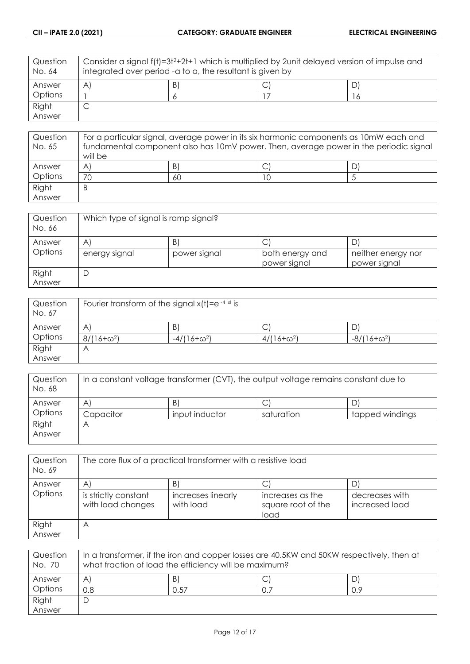| Question<br>No. 64 | Consider a signal f(t)=3t <sup>2</sup> +2t+1 which is multiplied by 2unit delayed version of impulse and<br>integrated over period -a to a, the resultant is given by |   |  |    |
|--------------------|-----------------------------------------------------------------------------------------------------------------------------------------------------------------------|---|--|----|
| Answer             | A                                                                                                                                                                     | B |  |    |
| Options            |                                                                                                                                                                       |   |  | 16 |
| Right              |                                                                                                                                                                       |   |  |    |
| Answer             |                                                                                                                                                                       |   |  |    |

| Question | For a particular signal, average power in its six harmonic components as 10mW each and |    |  |    |
|----------|----------------------------------------------------------------------------------------|----|--|----|
| No. 65   | fundamental component also has 10mV power. Then, average power in the periodic signal  |    |  |    |
|          | will be                                                                                |    |  |    |
| Answer   | A                                                                                      | B  |  | D. |
| Options  | 70                                                                                     | 60 |  |    |
| Right    | B                                                                                      |    |  |    |
| Answer   |                                                                                        |    |  |    |

| Question<br>No. 66 | Which type of signal is ramp signal? |                   |                      |                    |
|--------------------|--------------------------------------|-------------------|----------------------|--------------------|
| Answer<br>Options  | A<br>energy signal                   | B<br>power signal | ◡<br>both energy and | neither energy nor |
| Right<br>Answer    | └                                    |                   | power signal         | power signal       |

| Question<br>No. 67 | Fourier transform of the signal $x(t) = e^{-4 x }$ is |                    |                   |                    |
|--------------------|-------------------------------------------------------|--------------------|-------------------|--------------------|
| Answer             | A                                                     | B)                 | C                 | َ ب                |
| Options            | $8/(16+\omega^2)$                                     | $-4/(16+\omega^2)$ | $4/(16+\omega^2)$ | $-8/(16+\omega^2)$ |
| Right              | Α                                                     |                    |                   |                    |
| Answer             |                                                       |                    |                   |                    |

| Question<br>No. 68 | In a constant voltage transformer (CVT), the output voltage remains constant due to |                |            |                 |
|--------------------|-------------------------------------------------------------------------------------|----------------|------------|-----------------|
| Answer             | $\mathsf{A}$                                                                        | B              |            | D               |
| Options            | Capacitor                                                                           | input inductor | saturation | tapped windings |
| Right<br>Answer    | Α                                                                                   |                |            |                 |
|                    |                                                                                     |                |            |                 |

| Question<br>No. 69 | The core flux of a practical transformer with a resistive load |                                 |                                                |                                  |
|--------------------|----------------------------------------------------------------|---------------------------------|------------------------------------------------|----------------------------------|
| Answer             | $\forall$                                                      | B                               |                                                |                                  |
| Options            | is strictly constant<br>with load changes                      | increases linearly<br>with load | increases as the<br>square root of the<br>load | decreases with<br>increased load |
| Right              | А                                                              |                                 |                                                |                                  |
| Answer             |                                                                |                                 |                                                |                                  |

| Question<br>No. 70 | $\mid$ In a transformer, if the iron and copper losses are 40.5KW and 50KW respectively, then at<br>what fraction of load the efficiency will be maximum? |      |  |     |
|--------------------|-----------------------------------------------------------------------------------------------------------------------------------------------------------|------|--|-----|
| Answer             | A'                                                                                                                                                        | B.   |  |     |
| Options            | 0.8                                                                                                                                                       | 0.57 |  | 0.9 |
| Right              |                                                                                                                                                           |      |  |     |
| Answer             |                                                                                                                                                           |      |  |     |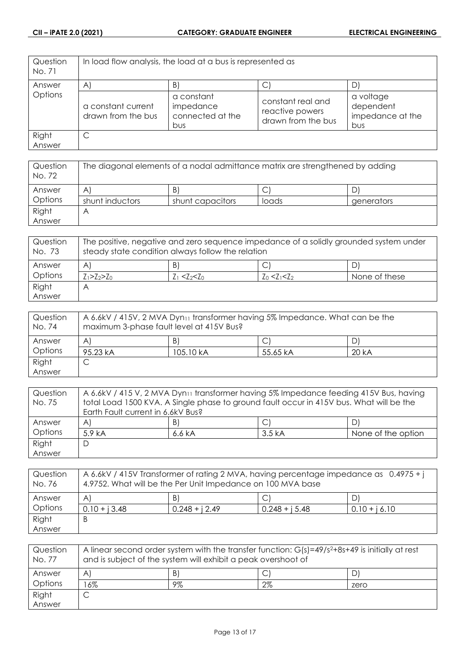| Question<br>No. 71 |                                                 | In load flow analysis, the load at a bus is represented as |                                                            |                                                   |
|--------------------|-------------------------------------------------|------------------------------------------------------------|------------------------------------------------------------|---------------------------------------------------|
| Answer             | $\left[ \begin{array}{c} A \end{array} \right]$ | B                                                          | С                                                          |                                                   |
| Options            | a constant current<br>drawn from the bus        | a constant<br>impedance<br>connected at the<br>bus         | constant real and<br>reactive powers<br>drawn from the bus | a voltage<br>dependent<br>impedance at the<br>bus |
| Right              | C                                               |                                                            |                                                            |                                                   |
| Answer             |                                                 |                                                            |                                                            |                                                   |

| Question<br>No. 72 | The diagonal elements of a nodal admittance matrix are strengthened by adding |                  |       |            |
|--------------------|-------------------------------------------------------------------------------|------------------|-------|------------|
| Answer             | Α                                                                             | B                |       |            |
| Options            | shunt inductors                                                               | shunt capacitors | loads | generators |
| Right              |                                                                               |                  |       |            |
| Answer             |                                                                               |                  |       |            |

| Question<br>No. 73 | The positive, negative and zero sequence impedance of a solidly grounded system under<br>steady state condition always follow the relation |                       |                   |               |
|--------------------|--------------------------------------------------------------------------------------------------------------------------------------------|-----------------------|-------------------|---------------|
| Answer             | Α                                                                                                                                          | B)                    | Ć                 |               |
| Options            | $Z_1 > Z_2 > Z_0$                                                                                                                          | $Z_1$ < $Z_2$ < $Z_0$ | $Z_0 < Z_1 < Z_2$ | None of these |
| Right              |                                                                                                                                            |                       |                   |               |
| Answer             |                                                                                                                                            |                       |                   |               |

| Question<br>No. 74 | A 6.6kV / 415V, 2 MVA Dyn <sub>11</sub> transformer having 5% Impedance. What can be the<br>maximum 3-phase fault level at 415V Bus? |           |          |       |
|--------------------|--------------------------------------------------------------------------------------------------------------------------------------|-----------|----------|-------|
| Answer             | A                                                                                                                                    | B'        |          |       |
| Options            | 95.23 kA                                                                                                                             | 105.10 kA | 55.65 kA | 20 kA |
| Right              |                                                                                                                                      |           |          |       |
| Answer             |                                                                                                                                      |           |          |       |

| Question | A 6.6kV / 415 V, 2 MVA Dyn11 transformer having 5% Impedance feeding 415V Bus, having   |        |        |                    |
|----------|-----------------------------------------------------------------------------------------|--------|--------|--------------------|
| No. 75   | total Load 1500 KVA. A Single phase to ground fault occur in 415V bus. What will be the |        |        |                    |
|          | Earth Fault current in 6.6kV Bus?                                                       |        |        |                    |
| Answer   | $\forall$                                                                               | B)     |        | D'                 |
| Options  | 5.9 <sub>kA</sub>                                                                       | 6.6 kA | 3.5 kA | None of the option |
| Right    | D                                                                                       |        |        |                    |
| Answer   |                                                                                         |        |        |                    |

| Question<br>No. 76 | A 6.6kV / 415V Transformer of rating 2 MVA, having percentage impedance as 0.4975 + j<br>4.9752. What will be the Per Unit Impedance on 100 MVA base |                  |                  |                 |
|--------------------|------------------------------------------------------------------------------------------------------------------------------------------------------|------------------|------------------|-----------------|
| Answer             | Α                                                                                                                                                    | B                |                  | D.              |
| Options            | $0.10 + i 3.48$                                                                                                                                      | $0.248 + i 2.49$ | $0.248 + i 5.48$ | $0.10 + i 6.10$ |
| Right              | Β                                                                                                                                                    |                  |                  |                 |
| Answer             |                                                                                                                                                      |                  |                  |                 |

| Question<br>No. 77 | A linear second order system with the transfer function: $G(s)=49/s^2+8s+49$ is initially at rest<br>and is subject of the system will exhibit a peak overshoot of |    |    |      |
|--------------------|--------------------------------------------------------------------------------------------------------------------------------------------------------------------|----|----|------|
| Answer             | Α                                                                                                                                                                  | B) |    |      |
| Options            | $6\%$                                                                                                                                                              | 9% | 2% | zero |
| Right              |                                                                                                                                                                    |    |    |      |
| Answer             |                                                                                                                                                                    |    |    |      |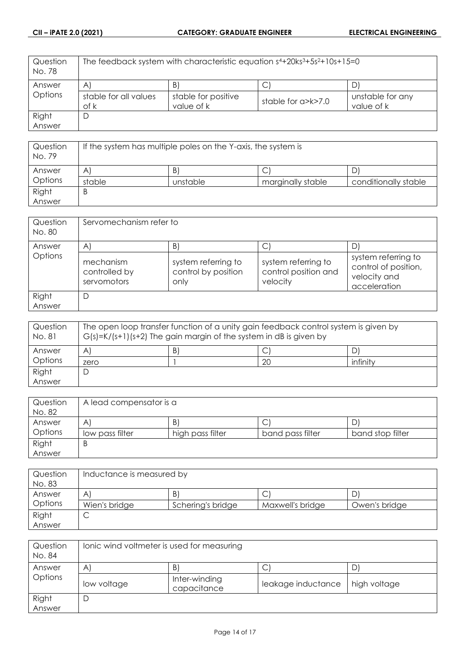| Question<br>No. 78 | The feedback system with characteristic equation $s4+20ks3+5s2+10s+15=0$ |                                   |                    |                                |
|--------------------|--------------------------------------------------------------------------|-----------------------------------|--------------------|--------------------------------|
| Answer             | $\mathsf{A}$                                                             | B)                                |                    | D'                             |
| <b>Options</b>     | stable for all values<br>of k                                            | stable for positive<br>value of k | stable for a>k>7.0 | unstable for any<br>value of k |
| Right              | D                                                                        |                                   |                    |                                |
| Answer             |                                                                          |                                   |                    |                                |

| Question<br>No. 79 | If the system has multiple poles on the Y-axis, the system is |          |                   |                      |
|--------------------|---------------------------------------------------------------|----------|-------------------|----------------------|
| Answer             | A                                                             | B.       | ◡                 | D                    |
| Options            | stable                                                        | unstable | marginally stable | conditionally stable |
| Right              | B                                                             |          |                   |                      |
| Answer             |                                                               |          |                   |                      |

| Question<br>No. 80 | Servomechanism refer to                   |                                                    |                                                         |                                                                             |
|--------------------|-------------------------------------------|----------------------------------------------------|---------------------------------------------------------|-----------------------------------------------------------------------------|
| Answer             | A                                         | $\vert B \vert$                                    |                                                         |                                                                             |
| Options            | mechanism<br>controlled by<br>servomotors | system referring to<br>control by position<br>only | system referring to<br>control position and<br>velocity | system referring to<br>control of position,<br>velocity and<br>acceleration |
| Right<br>Answer    | D                                         |                                                    |                                                         |                                                                             |

| Question<br>No. 81 | The open loop transfer function of a unity gain feedback control system is given by<br>$G(s)=K/(s+1)(s+2)$ The gain margin of the system in dB is given by |   |    |          |
|--------------------|------------------------------------------------------------------------------------------------------------------------------------------------------------|---|----|----------|
| Answer             | Α                                                                                                                                                          | B |    |          |
| Options            | zero                                                                                                                                                       |   | 20 | infinity |
| Right              | └                                                                                                                                                          |   |    |          |
| Answer             |                                                                                                                                                            |   |    |          |

| Question | A lead compensator is a |                  |                  |                  |
|----------|-------------------------|------------------|------------------|------------------|
| No. 82   |                         |                  |                  |                  |
| Answer   | A                       | B.               | ◡                |                  |
| Options  | low pass filter         | high pass filter | band pass filter | band stop filter |
| Right    | B                       |                  |                  |                  |
| Answer   |                         |                  |                  |                  |

| Question | Inductance is measured by |                   |                  |               |
|----------|---------------------------|-------------------|------------------|---------------|
| No. 83   |                           |                   |                  |               |
| Answer   | A                         | B                 | ◡                | D             |
| Options  | Wien's bridge             | Schering's bridge | Maxwell's bridge | Owen's bridge |
| Right    | $\check{ }$               |                   |                  |               |
| Answer   |                           |                   |                  |               |

| Question<br>No. 84 | Ionic wind voltmeter is used for measuring |                              |                    |              |
|--------------------|--------------------------------------------|------------------------------|--------------------|--------------|
| Answer             | $\mathsf{A}$                               | B)                           | C                  |              |
| Options            | low voltage                                | Inter-winding<br>capacitance | leakage inductance | high voltage |
| Right              | D                                          |                              |                    |              |
| Answer             |                                            |                              |                    |              |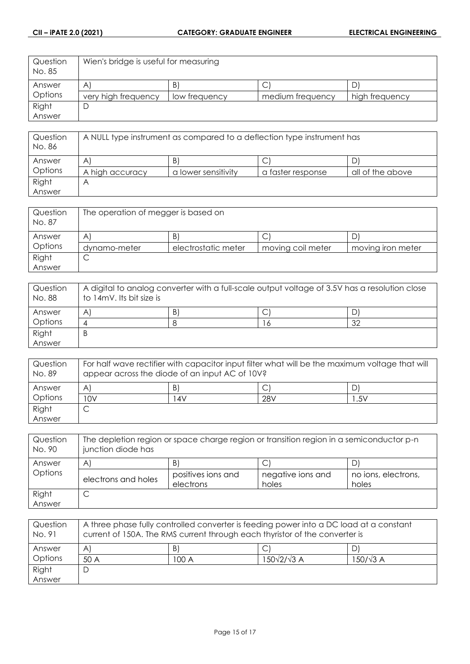| Question<br>No. 85 | Wien's bridge is useful for measuring |               |                  |                |
|--------------------|---------------------------------------|---------------|------------------|----------------|
| Answer             | $\forall$                             | Β             |                  | ' (_،          |
| Options            | very high frequency                   | low frequency | medium frequency | high frequency |
| Right              |                                       |               |                  |                |
| Answer             |                                       |               |                  |                |

| Question<br>No. 86 | A NULL type instrument as compared to a deflection type instrument has |                     |                   |                  |
|--------------------|------------------------------------------------------------------------|---------------------|-------------------|------------------|
| Answer             | A                                                                      | B                   |                   |                  |
| Options            | A high accuracy                                                        | a lower sensitivity | a taster response | all of the above |
| Right              | $\overline{P}$                                                         |                     |                   |                  |
| Answer             |                                                                        |                     |                   |                  |

| Question<br>No. 87 | The operation of megger is based on |                     |                   |                   |
|--------------------|-------------------------------------|---------------------|-------------------|-------------------|
| Answer             | A                                   | B                   | ◡                 |                   |
| Options            | dynamo-meter                        | electrostatic meter | moving coil meter | moving iron meter |
| Right              | ◡                                   |                     |                   |                   |
| Answer             |                                     |                     |                   |                   |

| Question<br>No. 88 | A digital to analog converter with a full-scale output voltage of 3.5V has a resolution close<br>to 14mV. Its bit size is |   |  |    |
|--------------------|---------------------------------------------------------------------------------------------------------------------------|---|--|----|
| Answer             | A                                                                                                                         | B |  |    |
| Options            |                                                                                                                           |   |  | 32 |
| Right              | B                                                                                                                         |   |  |    |
| Answer             |                                                                                                                           |   |  |    |

| Question<br>No. 89 | For half wave rectifier with capacitor input filter what will be the maximum voltage that will<br>appear across the diode of an input AC of 10V? |     |                 |     |
|--------------------|--------------------------------------------------------------------------------------------------------------------------------------------------|-----|-----------------|-----|
| Answer             | A                                                                                                                                                | B   |                 | D.  |
| Options            | 10V                                                                                                                                              | 14V | 28 <sub>V</sub> | .5V |
| Right              |                                                                                                                                                  |     |                 |     |
| Answer             |                                                                                                                                                  |     |                 |     |

| Question<br>No. 90 | The depletion region or space charge region or transition region in a semiconductor p-n<br>junction diode has |                                 |                            |                              |
|--------------------|---------------------------------------------------------------------------------------------------------------|---------------------------------|----------------------------|------------------------------|
| Answer             | Α                                                                                                             | B                               |                            |                              |
| Options            | electrons and holes                                                                                           | positives ions and<br>electrons | negative ions and<br>holes | no ions, electrons,<br>holes |
| Right              | ◡                                                                                                             |                                 |                            |                              |
| Answer             |                                                                                                               |                                 |                            |                              |

| Question<br>No. 91 | A three phase fully controlled converter is feeding power into a DC load at a constant<br>current of 150A. The RMS current through each thyristor of the converter is |       |                          |                  |
|--------------------|-----------------------------------------------------------------------------------------------------------------------------------------------------------------------|-------|--------------------------|------------------|
| Answer             | AI                                                                                                                                                                    | B     |                          |                  |
| Options            | 50 A                                                                                                                                                                  | 100 A | $150\sqrt{2}/\sqrt{3}$ A | $150/\sqrt{3}$ A |
| Right              | D                                                                                                                                                                     |       |                          |                  |
| Answer             |                                                                                                                                                                       |       |                          |                  |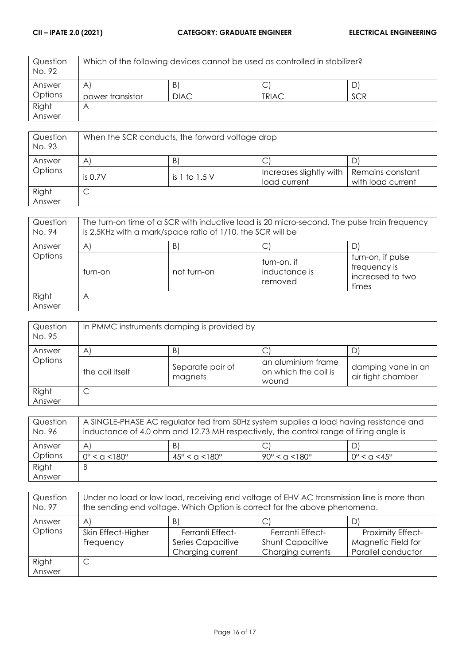| Question<br>No. 92 | Which of the following devices cannot be used as controlled in stabilizer? |             |              |            |
|--------------------|----------------------------------------------------------------------------|-------------|--------------|------------|
| Answer             | $\forall$                                                                  | B           |              |            |
| <b>Options</b>     | power transistor                                                           | <b>DIAC</b> | <b>TRIAC</b> | <b>SCR</b> |
| Right              | $\forall$                                                                  |             |              |            |
| Answer             |                                                                            |             |              |            |

| Question<br>No. 93 | When the SCR conducts, the forward voltage drop |                   |                                         |                                       |
|--------------------|-------------------------------------------------|-------------------|-----------------------------------------|---------------------------------------|
| Answer             | $\mathsf{A}$                                    | B                 |                                         |                                       |
| Options            | is $0.7V$                                       | is $1$ to $1.5$ V | Increases slightly with<br>load current | Remains constant<br>with load current |
| Right<br>Answer    | ◡                                               |                   |                                         |                                       |

| Question<br>No. 94 | The turn-on time of a SCR with inductive load is 20 micro-second. The pulse train frequency<br>is 2.5KHz with a mark/space ratio of 1/10, the SCR will be |             |                                         |                                                                |
|--------------------|-----------------------------------------------------------------------------------------------------------------------------------------------------------|-------------|-----------------------------------------|----------------------------------------------------------------|
| Answer             | $\mathsf{A}$                                                                                                                                              | B)          | C                                       |                                                                |
| Options            | turn-on                                                                                                                                                   | not turn-on | turn-on, if<br>inductance is<br>removed | turn-on, if pulse<br>frequency is<br>increased to two<br>times |
| Right<br>Answer    | Α                                                                                                                                                         |             |                                         |                                                                |

| Question<br>No. 95 | In PMMC instruments damping is provided by |                             |                                                     |                                         |
|--------------------|--------------------------------------------|-----------------------------|-----------------------------------------------------|-----------------------------------------|
| Answer             | A                                          | B)                          | С                                                   |                                         |
| Options            | the coil itself                            | Separate pair of<br>magnets | an aluminium frame<br>on which the coil is<br>wound | damping vane in an<br>air tight chamber |
| Right<br>Answer    | ◡                                          |                             |                                                     |                                         |

| Question<br>No. 96 | A SINGLE-PHASE AC regulator fed from 50Hz system supplies a load having resistance and<br>inductance of 4.0 ohm and 12.73 MH respectively, the control range of firing angle is |                                     |                                   |                              |
|--------------------|---------------------------------------------------------------------------------------------------------------------------------------------------------------------------------|-------------------------------------|-----------------------------------|------------------------------|
| Answer             | A                                                                                                                                                                               | B)                                  |                                   |                              |
| Options            | $0^{\circ}$ < a < 180 $^{\circ}$                                                                                                                                                | $45^{\circ} < \alpha < 180^{\circ}$ | $90^{\circ}$ < a < 180 $^{\circ}$ | $0^{\circ}$ < $\alpha$ <4.5° |
| Right              | Β                                                                                                                                                                               |                                     |                                   |                              |
| Answer             |                                                                                                                                                                                 |                                     |                                   |                              |

| Question<br>No. 97 | Under no load or low load, receiving end voltage of EHV AC transmission line is more than<br>the sending end voltage. Which Option is correct for the above phenomena. |                         |                         |                          |
|--------------------|------------------------------------------------------------------------------------------------------------------------------------------------------------------------|-------------------------|-------------------------|--------------------------|
| Answer             | $\forall$                                                                                                                                                              | $\vert B \vert$         | C                       | D                        |
| Options            | Skin Effect-Higher                                                                                                                                                     | <b>Ferranti Effect-</b> | Ferranti Effect-        | <b>Proximity Effect-</b> |
|                    | Frequency                                                                                                                                                              | Series Capacitive       | <b>Shunt Capacitive</b> | Magnetic Field for       |
|                    |                                                                                                                                                                        | Charging current        | Charging currents       | Parallel conductor       |
| Right              |                                                                                                                                                                        |                         |                         |                          |
| Answer             |                                                                                                                                                                        |                         |                         |                          |